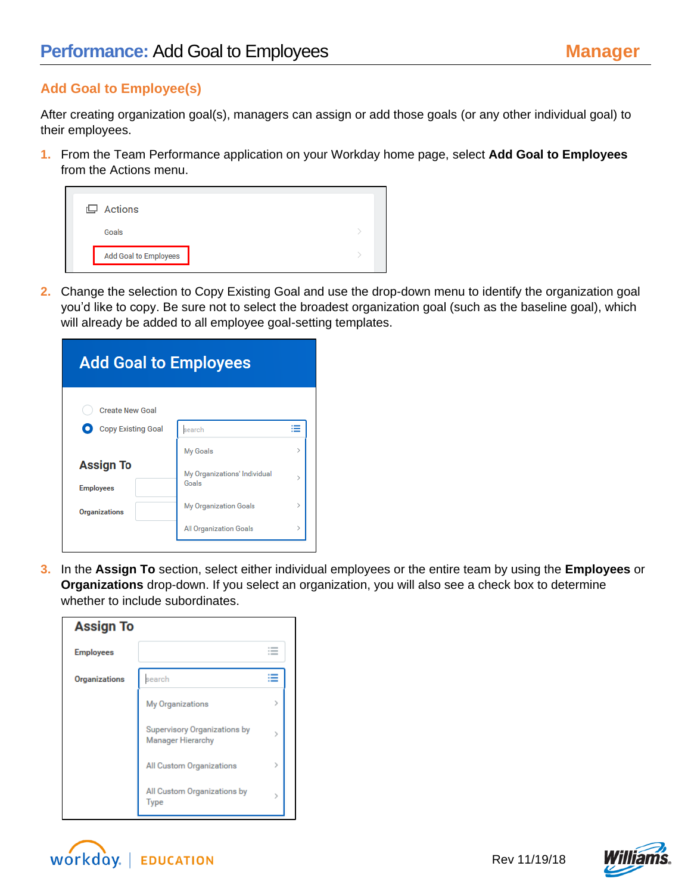## **Add Goal to Employee(s)**

After creating organization goal(s), managers can assign or add those goals (or any other individual goal) to their employees.

**1.** From the Team Performance application on your Workday home page, select **Add Goal to Employees**  from the Actions menu.

| $\Box$ Actions        |  |
|-----------------------|--|
| Goals                 |  |
| Add Goal to Employees |  |
|                       |  |

**2.** Change the selection to Copy Existing Goal and use the drop-down menu to identify the organization goal you'd like to copy. Be sure not to select the broadest organization goal (such as the baseline goal), which will already be added to all employee goal-setting templates.

| <b>Add Goal to Employees</b>         |                                       |               |  |
|--------------------------------------|---------------------------------------|---------------|--|
| <b>Create New Goal</b>               |                                       |               |  |
| <b>Copy Existing Goal</b>            | search                                | ≔             |  |
|                                      | <b>My Goals</b>                       | У             |  |
| <b>Assign To</b><br><b>Employees</b> | My Organizations' Individual<br>Goals | 5             |  |
| <b>Organizations</b>                 | <b>My Organization Goals</b>          | $\mathcal{E}$ |  |
|                                      | <b>All Organization Goals</b>         | $\mathcal{P}$ |  |

**3.** In the **Assign To** section, select either individual employees or the entire team by using the **Employees** or **Organizations** drop-down. If you select an organization, you will also see a check box to determine whether to include subordinates.

| <b>Assign To</b>     |                                                                 |               |
|----------------------|-----------------------------------------------------------------|---------------|
| <b>Employees</b>     |                                                                 |               |
| <b>Organizations</b> | search                                                          |               |
|                      | <b>My Organizations</b>                                         | $\mathcal{P}$ |
|                      | <b>Supervisory Organizations by</b><br><b>Manager Hierarchy</b> | ⋋             |
|                      | <b>All Custom Organizations</b>                                 |               |
|                      | All Custom Organizations by<br><b>Type</b>                      | >             |